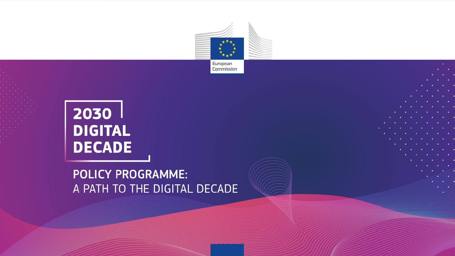

European Commission

# $2030$ **DIGITAL DECADE**

### **POLICY PROGRAMME:** A PATH TO THE DIGITAL DECADE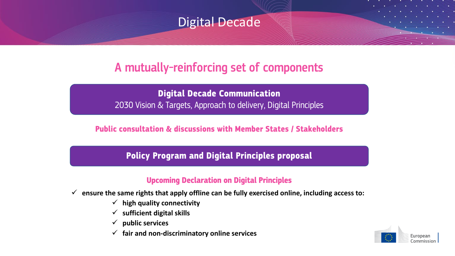

## A mutually-reinforcing set of components

**Digital Decade Communication** 2030 Vision & Targets, Approach to delivery, Digital Principles

**Public consultation & discussions with Member States / Stakeholders**

**Policy Program and Digital Principles proposal**

### **Upcoming Declaration on Digital Principles**

- **ensure the same rights that apply offline can be fully exercised online, including access to:**
	- $\checkmark$  high quality connectivity
	- **sufficient digital skills**
	- **public services**
	- **fair and non-discriminatory online services**

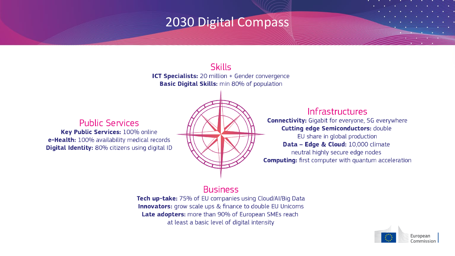## 2030 Digital Compass

**Skills** 

ICT Specialists: 20 million + Gender convergence **Basic Digital Skills:** min 80% of population

**Public Services** Key Public Services: 100% online e-Health: 100% availability medical records **Digital Identity:** 80% citizens using digital ID

### Infrastructures

**Connectivity:** Gigabit for everyone, 5G everywhere **Cutting edge Semiconductors: double** 

EU share in global production Data - Edge & Cloud: 10,000 climate neutral highly secure edge nodes **Computing:** first computer with quantum acceleration

### **Business**

Tech up-take: 75% of EU companies using Cloud/Al/Big Data **Innovators:** grow scale ups & finance to double EU Unicorns Late adopters: more than 90% of European SMEs reach at least a basic level of digital intensity

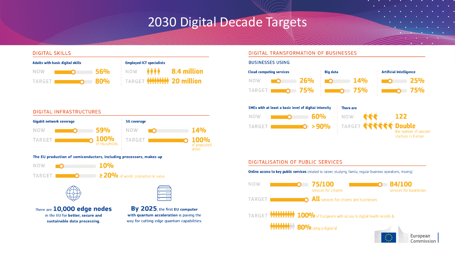## 2030 Digital Decade Targets

#### **DIGITAL SKILLS**



| <b>Employed ICT specialists</b> |  |                                      |
|---------------------------------|--|--------------------------------------|
|                                 |  | NOW <b>AAA 8.4 million</b>           |
|                                 |  | <b>EXARGET MMMMMMMMMM 20 million</b> |

#### **DIGITAL INFRASTRUCTURES**







There are 10,000 edge nodes in the EU for better, secure and sustainable data processing.



 $\overline{\phantom{a}}$ 

π.

#### **DIGITAL TRANSFORMATION OF BUSINESSES**



#### **DIGITALISATION OF PUBLIC SERVICES**

**Online access to key public services** (related to career, studying, family, regular business operations, moving)

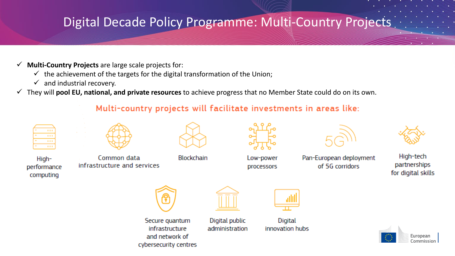## Digital Decade Policy Programme: Multi-Country Projects

- **Multi-Country Projects** are large scale projects for:
	- $\checkmark$  the achievement of the targets for the digital transformation of the Union;

cybersecurity centres

- $\checkmark$  and industrial recovery.
- They will **pool EU, national, and private resources** to achieve progress that no Member State could do on its own.

### Multi-country projects will facilitate investments in areas like:

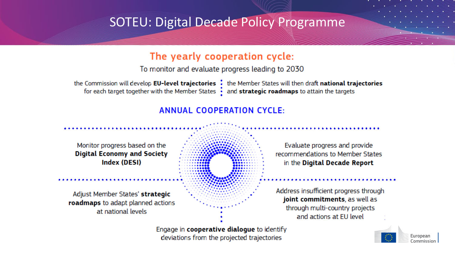## **SOTEU: Digital Decade Policy Programme**

### The yearly cooperation cycle:

To monitor and evaluate progress leading to 2030

for each target together with the Member States  $\frac{1}{2}$  and **strategic roadmaps** to attain the targets

the Commission will develop EU-level trajectories : the Member States will then draft national trajectories

Commission

### **ANNUAL COOPERATION CYCLE:**



deviations from the projected trajectories